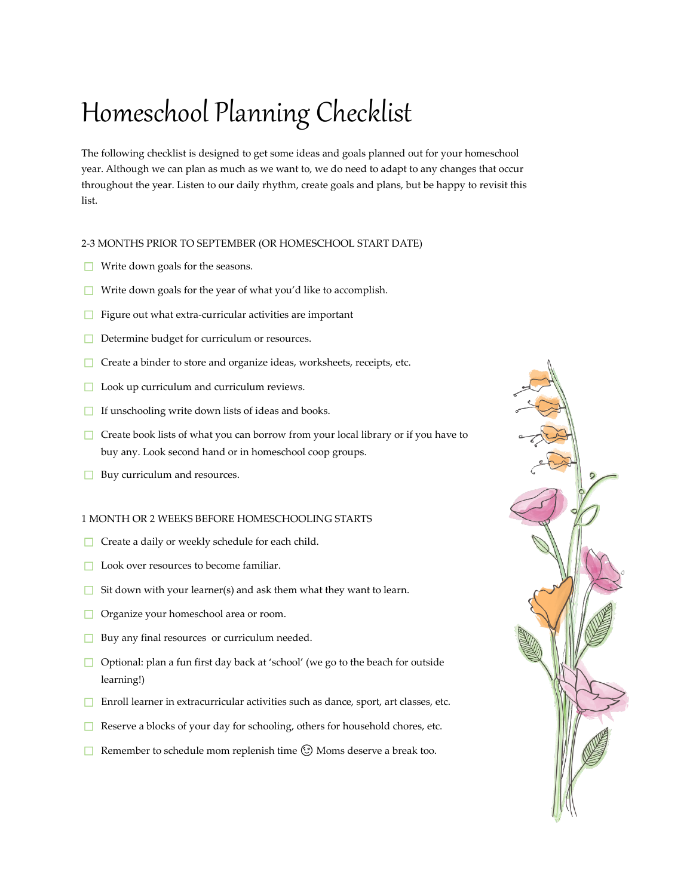## Homeschool Planning Checklist

The following checklist is designed to get some ideas and goals planned out for your homeschool year. Although we can plan as much as we want to, we do need to adapt to any changes that occur throughout the year. Listen to our daily rhythm, create goals and plans, but be happy to revisit this list.

## 2-3 MONTHS PRIOR TO SEPTEMBER (OR HOMESCHOOL START DATE)

- $\Box$  Write down goals for the seasons.
- ☐ Write down goals for the year of what you'd like to accomplish.
- ☐ Figure out what extra-curricular activities are important
- **□** Determine budget for curriculum or resources.
- **□** Create a binder to store and organize ideas, worksheets, receipts, etc.
- ☐ Look up curriculum and curriculum reviews.
- **□** If unschooling write down lists of ideas and books.
- $\Box$  Create book lists of what you can borrow from your local library or if you have to buy any. Look second hand or in homeschool coop groups.
- **□** Buy curriculum and resources.

## 1 MONTH OR 2 WEEKS BEFORE HOMESCHOOLING STARTS

- **□** Create a daily or weekly schedule for each child.
- **□** Look over resources to become familiar.
- $\Box$  Sit down with your learner(s) and ask them what they want to learn.
- ☐ Organize your homeschool area or room.
- **□** Buy any final resources or curriculum needed.
- ☐ Optional: plan a fun first day back at 'school' (we go to the beach for outside learning!)
- ☐ Enroll learner in extracurricular activities such as dance, sport, art classes, etc.
- ☐ Reserve a blocks of your day for schooling, others for household chores, etc.
- □ Remember to schedule mom replenish time  $\odot$  Moms deserve a break too.

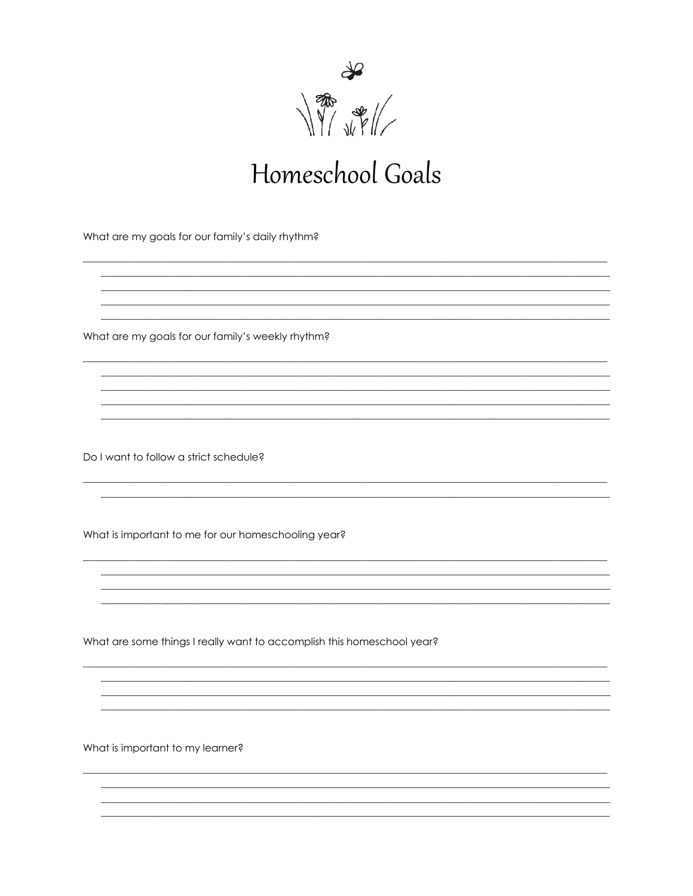

## Homeschool Goals

<u> 1989 - Johann Stoff, amerikansk politiker (d. 1989)</u>

What are my goals for our family's daily rhythm?

What are my goals for our family's weekly rhythm?

Do I want to follow a strict schedule?

What is important to me for our homeschooling year?

What are some things I really want to accomplish this homeschool year?

What is important to my learner?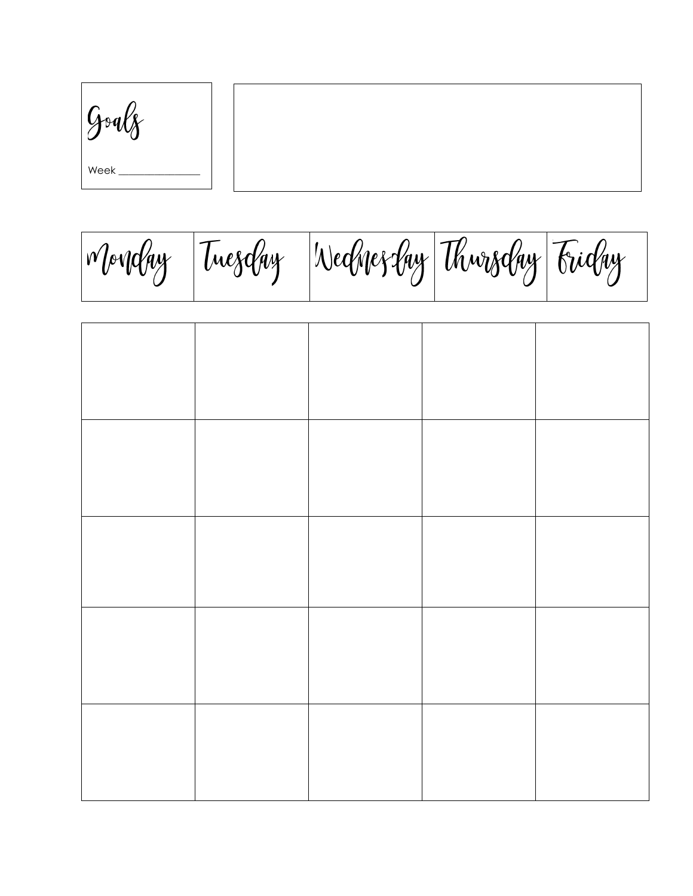$g_{\text{ref}}$ Week

Monday Tuesday Wednesday Thwysday Friday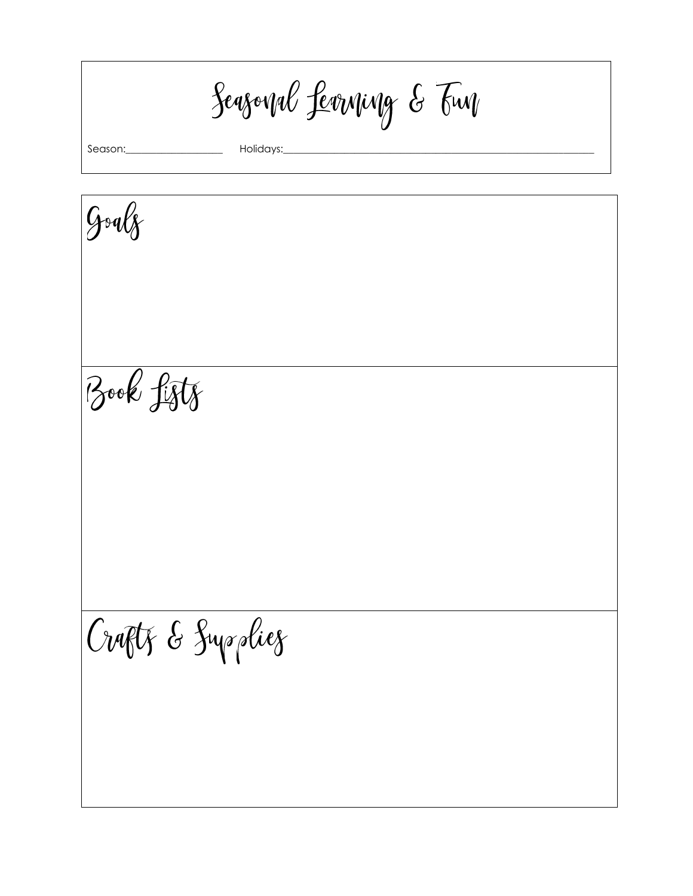Seasonal Levening & Fun

Season:

Holidays:

Goalz Book fifts Craptz & Suppliez